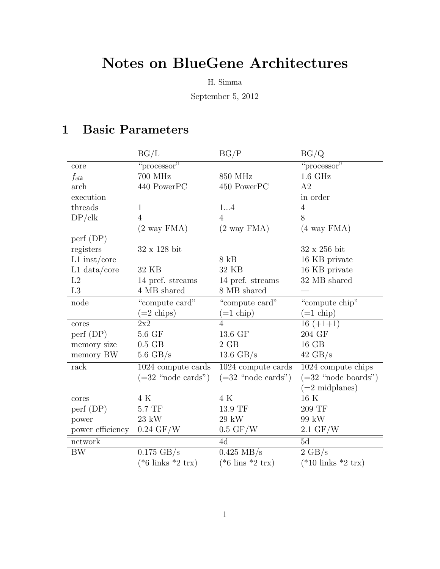# Notes on BlueGene Architectures

H. Simma

September 5, 2012

## 1 Basic Parameters

|                        | BG/L                                 | BG/P                                 | BG/Q                                  |
|------------------------|--------------------------------------|--------------------------------------|---------------------------------------|
| core                   | "processor"                          |                                      | "processor"                           |
| $f_{clk}$              | 700 MHz                              | 850 MHz                              | $1.6$ GHz                             |
| arch                   | 440 PowerPC                          | 450 PowerPC                          | A2                                    |
| execution              |                                      |                                      | in order                              |
| threads                | $\mathbf{1}$                         | 14                                   | $\overline{4}$                        |
| DP/clk                 | $\overline{4}$                       | $\overline{4}$                       | 8                                     |
|                        | $(2 \text{ way FMA})$                | $(2 \text{ way FMA})$                | $(4$ way $FMA)$                       |
| $\text{perf (DP)}$     |                                      |                                      |                                       |
| registers              | $32 \times 128$ bit                  |                                      | $32 \times 256$ bit                   |
| $L1$ inst/core         |                                      | $8$ kB                               | 16 KB private                         |
| $L1$ data/core         | 32 KB                                | 32 KB                                | 16 KB private                         |
| L2                     | 14 pref. streams                     | 14 pref. streams                     | 32 MB shared                          |
| L3                     | 4 MB shared                          | 8 MB shared                          |                                       |
| node                   | "compute card"                       | "compute card"                       | "compute chip"                        |
|                        | $(=2 \text{ chips})$                 | $(=1$ chip)                          | $(=1$ chip)                           |
| cores                  | 2x2                                  | $\overline{4}$                       | $16 (+1+1)$                           |
| $\text{perf (DP)}$     | $5.6 \; \mathrm{GF}$                 | 13.6 GF                              | 204 GF                                |
| memory size            | $0.5$ GB                             | $2$ $\rm GB$                         | 16 GB                                 |
| memory BW              | $5.6 \text{ GB/s}$                   | 13.6 $GB/s$                          | $42 \text{ GB/s}$                     |
| rack                   | $1024$ compute cards $\,$            | $1024$ compute cards                 | 1024 compute chips                    |
|                        | $(=32$ "node cards")                 | $(=32$ "node cards")                 | $(=32$ "node boards")                 |
|                        |                                      |                                      | $(=2 \text{ midplanes})$              |
| $\operatorname{cores}$ | 4 K                                  | 4K                                   | $16\ \mathrm{\overline{K}}$           |
| $\text{perf (DP)}$     | $5.7~\mathrm{TF}$                    | 13.9 TF                              | 209 TF                                |
| power                  | $23 \text{ kW}$                      | 29 kW                                | 99 kW                                 |
| power efficiency       | $0.24 \text{ GF/W}$                  | $0.5 \text{ GF/W}$                   | $2.1 \text{ GF/W}$                    |
| network                |                                      | 4d                                   | 5d                                    |
| BW                     | $0.175$ GB/s                         | $0.425 \text{ MB/s}$                 | $2 \text{ GB/s}$                      |
|                        | $(*6 \text{ links } *2 \text{ trx})$ | $(*6 \text{ lines } *2 \text{ trx})$ | $(*10 \text{ links } *2 \text{ trx})$ |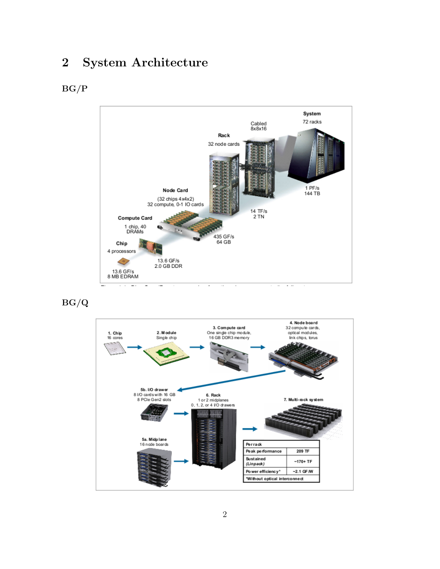### 2 System Architecture

#### BG/P



BG/Q

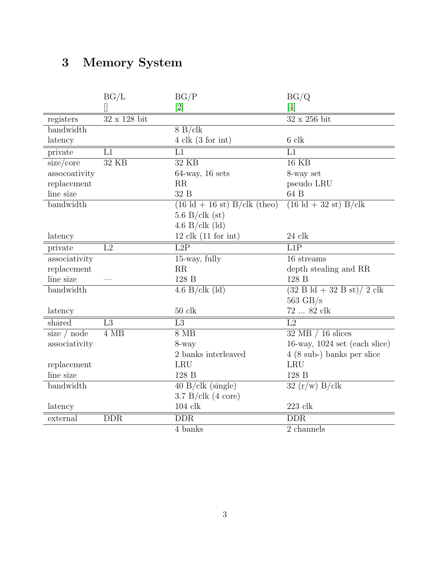# 3 Memory System

|               | BG/L           | BG/P                                                   | BG/Q                                            |
|---------------|----------------|--------------------------------------------------------|-------------------------------------------------|
|               |                | $\left\lceil 2 \right\rceil$                           | [4]                                             |
| registers     | 32 x 128 bit   |                                                        | $32 \times 256$ bit                             |
| bandwidth     |                | $8 B/ c$ lk                                            |                                                 |
| latency       |                | $4 \text{clk} (3 \text{ for int})$                     | 6 clk                                           |
| private       | L1             | L1                                                     | L1                                              |
| size/core     | 32 KB          | $32$ KB                                                | $16$ KB                                         |
| assocoativity |                | $64$ -way, 16 sets                                     | 8-way set                                       |
| replacement   |                | RR                                                     | pseudo LRU                                      |
| line size     |                | 32 B                                                   | 64 B                                            |
| bandwidth     |                | $(16 \text{ Id} + 16 \text{ st}) \text{ B/clk}$ (theo) | $(16 \text{ Id} + 32 \text{ st}) \text{ B/clk}$ |
|               |                | $5.6$ B/clk (st)                                       |                                                 |
|               |                | 4.6 B/clk $\left(\mathrm{Id}\right)$                   |                                                 |
| latency       |                | $12$ clk $(11$ for int)                                | $24$ clk                                        |
| private       | L2             | L2P                                                    | L1P                                             |
| associativity |                | 15-way, fully                                          | 16 streams                                      |
| replacement   |                | RR                                                     | depth stealing and RR                           |
| line size     |                | 128 B                                                  | 128 B                                           |
| bandwidth     |                | 4.6 B/clk $\left(\mathrm{Id}\right)$                   | $(32 B d + 32 B st)/ 2 c k$                     |
|               |                |                                                        | $563$ GB/s                                      |
| latency       |                | $50\,$ clk                                             | 72  82 clk                                      |
| shared        | L <sub>3</sub> | L3                                                     | L2                                              |
| size $/$ node | 4 MB           | $8\text{ MB}$                                          | $32 \text{ MB} / 16 \text{ slices}$             |
| associativity |                | 8-way                                                  | 16-way, $1024$ set (each slice)                 |
|               |                | 2 banks interleaved                                    | $4(8 \text{ sub-})$ banks per slice             |
| replacement   |                | <b>LRU</b>                                             | LRU                                             |
| line size     |                | 128 B                                                  | 128 B                                           |
| bandwidth     |                | 40 B/clk (single)                                      | 32 (r/w) B/clk                                  |
|               |                | $3.7$ B/clk $(4$ core)                                 |                                                 |
| latency       |                | $104$ $\rm{clk}$                                       | $223$ clk                                       |
| external      | <b>DDR</b>     | $\overline{\rm{DDR}}$                                  | <b>DDR</b>                                      |
|               |                | 4 banks                                                | 2 channels                                      |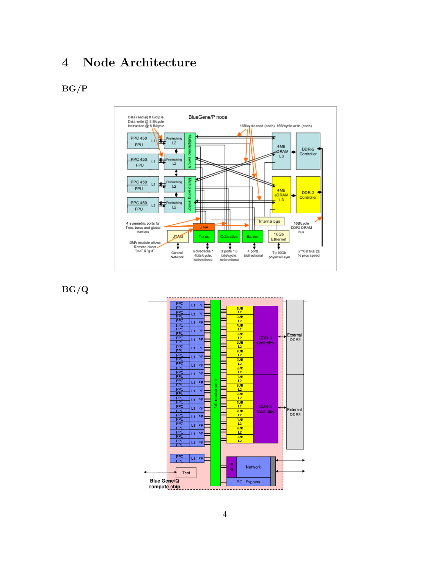### 4 Node Architecture

#### BG/P



BG/Q

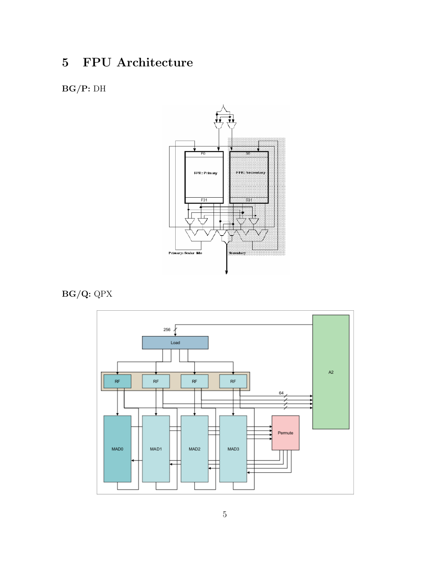## 5 FPU Architecture

### BG/P: DH



BG/Q: QPX